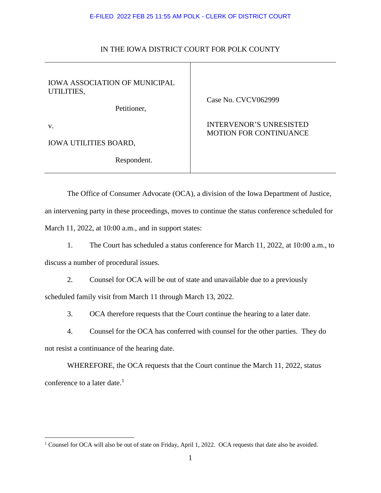## E-FILED 2022 FEB 25 11:55 AM POLK - CLERK OF DISTRICT COURT

| <b>IOWA ASSOCIATION OF MUNICIPAL</b><br>UTILITIES,<br>Petitioner, | Case No. CVCV062999                                             |
|-------------------------------------------------------------------|-----------------------------------------------------------------|
| V.                                                                | <b>INTERVENOR'S UNRESISTED</b><br><b>MOTION FOR CONTINUANCE</b> |
| <b>IOWA UTILITIES BOARD,</b>                                      |                                                                 |
| Respondent.                                                       |                                                                 |

## IN THE IOWA DISTRICT COURT FOR POLK COUNTY

The Office of Consumer Advocate (OCA), a division of the Iowa Department of Justice, an intervening party in these proceedings, moves to continue the status conference scheduled for March 11, 2022, at 10:00 a.m., and in support states:

1. The Court has scheduled a status conference for March 11, 2022, at 10:00 a.m., to discuss a number of procedural issues.

2. Counsel for OCA will be out of state and unavailable due to a previously scheduled family visit from March 11 through March 13, 2022.

3. OCA therefore requests that the Court continue the hearing to a later date.

4. Counsel for the OCA has conferred with counsel for the other parties. They do not resist a continuance of the hearing date.

WHEREFORE, the OCA requests that the Court continue the March 11, 2022, status conference to a later date. $<sup>1</sup>$ </sup>

 $\overline{a}$ 

<sup>&</sup>lt;sup>1</sup> Counsel for OCA will also be out of state on Friday, April 1, 2022. OCA requests that date also be avoided.